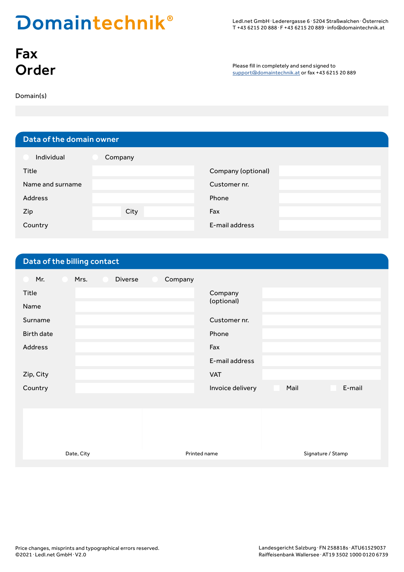## **Domaintechnik®**

Ledl.net GmbH · Lederergasse 6 · 5204 Straßwalchen · Österreich T +43 6215 20 888 � F +43 6215 20 889 � info@domaintechnik.at

# Fax<br>Order

Please fill in completely and send signed to<br>
Support@domaintechnik.at or fax +43 6215 20 889

Domain(s)

### Data of the domain owner

| Individual       | Company |                    |
|------------------|---------|--------------------|
| Title            |         | Company (optional) |
| Name and surname |         | Customer nr.       |
| <b>Address</b>   |         | Phone              |
| Zip              | City    | Fax                |
| Country          |         | E-mail address     |

#### Data of the billing contact

| Mr.<br>Mrs.<br>Diverse<br>Company |                                    |
|-----------------------------------|------------------------------------|
| Title                             | Company                            |
| Name                              | (optional)                         |
| Surname                           | Customer nr.                       |
| <b>Birth date</b>                 | Phone                              |
| Address                           | Fax                                |
|                                   | E-mail address                     |
| Zip, City                         | <b>VAT</b>                         |
| Country                           | E-mail<br>Mail<br>Invoice delivery |
|                                   |                                    |
|                                   |                                    |
|                                   |                                    |
|                                   |                                    |

Date, City **Printed name Printed name** Signature / Stamp